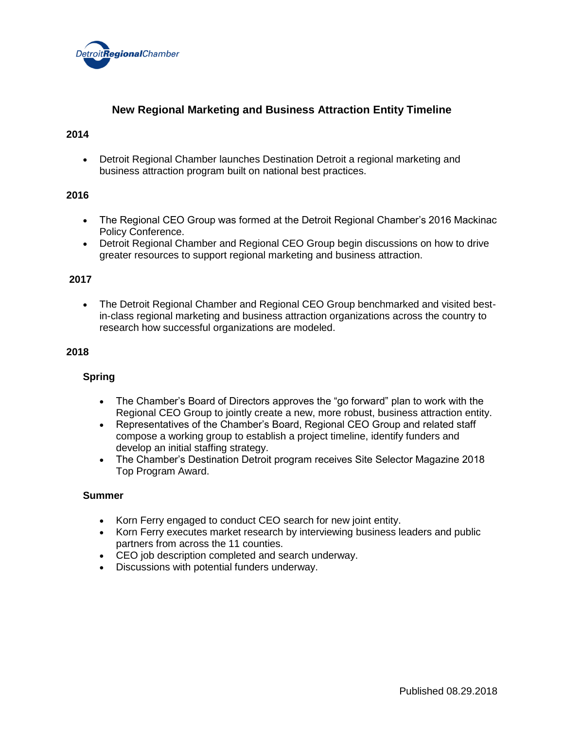

# **New Regional Marketing and Business Attraction Entity Timeline**

#### **2014**

• Detroit Regional Chamber launches Destination Detroit a regional marketing and business attraction program built on national best practices.

#### **2016**

- The Regional CEO Group was formed at the Detroit Regional Chamber's 2016 Mackinac Policy Conference.
- Detroit Regional Chamber and Regional CEO Group begin discussions on how to drive greater resources to support regional marketing and business attraction.

## **2017**

• The Detroit Regional Chamber and Regional CEO Group benchmarked and visited bestin-class regional marketing and business attraction organizations across the country to research how successful organizations are modeled.

## **2018**

#### **Spring**

- The Chamber's Board of Directors approves the "go forward" plan to work with the Regional CEO Group to jointly create a new, more robust, business attraction entity.
- Representatives of the Chamber's Board, Regional CEO Group and related staff compose a working group to establish a project timeline, identify funders and develop an initial staffing strategy.
- The Chamber's Destination Detroit program receives Site Selector Magazine 2018 Top Program Award.

#### **Summer**

- Korn Ferry engaged to conduct CEO search for new joint entity.
- Korn Ferry executes market research by interviewing business leaders and public partners from across the 11 counties.
- CEO job description completed and search underway.
- Discussions with potential funders underway.